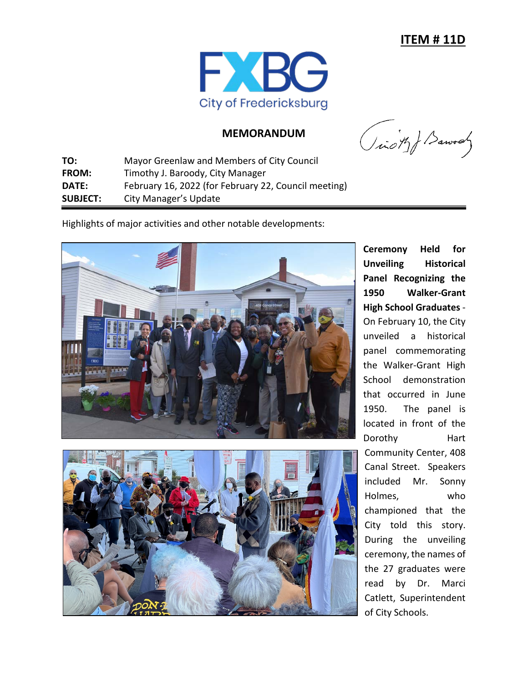

## **MEMORANDUM**

(icity) Barvay

**TO:** Mayor Greenlaw and Members of City Council **FROM:** Timothy J. Baroody, City Manager **DATE:** February 16, 2022 (for February 22, Council meeting) **SUBJECT:** City Manager's Update

Highlights of major activities and other notable developments:





**Ceremony Held for Unveiling Historical Panel Recognizing the 1950 Walker-Grant High School Graduates** - On February 10, the City unveiled a historical panel commemorating the Walker-Grant High School demonstration that occurred in June 1950. The panel is located in front of the Dorothy Hart Community Center, 408 Canal Street. Speakers included Mr. Sonny Holmes, who championed that the City told this story. During the unveiling ceremony, the names of the 27 graduates were read by Dr. Marci Catlett, Superintendent of City Schools.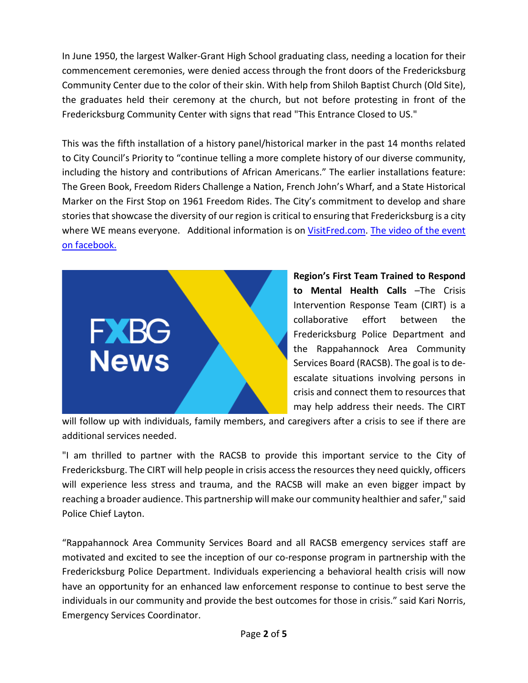In June 1950, the largest Walker-Grant High School graduating class, needing a location for their commencement ceremonies, were denied access through the front doors of the Fredericksburg Community Center due to the color of their skin. With help from Shiloh Baptist Church (Old Site), the graduates held their ceremony at the church, but not before protesting in front of the Fredericksburg Community Center with signs that read "This Entrance Closed to US."

This was the fifth installation of a history panel/historical marker in the past 14 months related to City Council's Priority to "continue telling a more complete history of our diverse community, including the history and contributions of African Americans." The earlier installations feature: The Green Book, Freedom Riders Challenge a Nation, French John's Wharf, and a State Historical Marker on the First Stop on 1961 Freedom Rides. The City's commitment to develop and share stories that showcase the diversity of our region is critical to ensuring that Fredericksburg is a city where WE means everyone. Additional information is on [VisitFred.com.](http://www.visitfred.com/) The video of the event on facebook.



**Region's First Team Trained to Respond to Mental Health Calls** –The Crisis Intervention Response Team (CIRT) is a collaborative effort between the Fredericksburg Police Department and the Rappahannock Area Community Services Board (RACSB). The goal is to deescalate situations involving persons in crisis and connect them to resources that may help address their needs. The CIRT

will follow up with individuals, family members, and caregivers after a crisis to see if there are additional services needed.

"I am thrilled to partner with the RACSB to provide this important service to the City of Fredericksburg. The CIRT will help people in crisis access the resources they need quickly, officers will experience less stress and trauma, and the RACSB will make an even bigger impact by reaching a broader audience. This partnership will make our community healthier and safer," said Police Chief Layton.

"Rappahannock Area Community Services Board and all RACSB emergency services staff are motivated and excited to see the inception of our co-response program in partnership with the Fredericksburg Police Department. Individuals experiencing a behavioral health crisis will now have an opportunity for an enhanced law enforcement response to continue to best serve the individuals in our community and provide the best outcomes for those in crisis." said Kari Norris, Emergency Services Coordinator.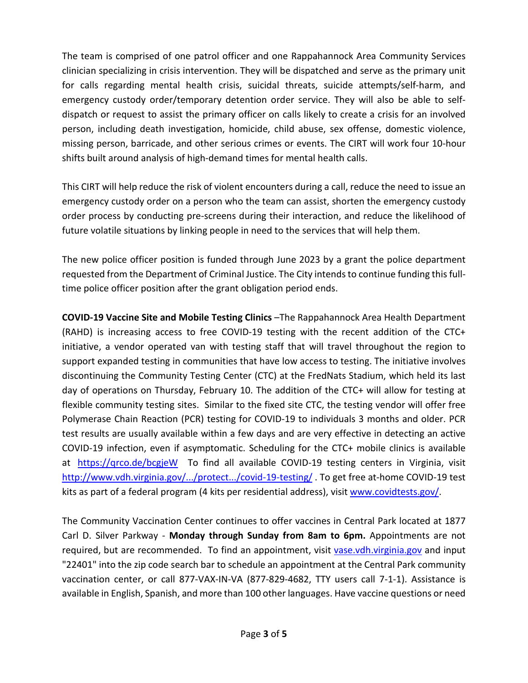The team is comprised of one patrol officer and one Rappahannock Area Community Services clinician specializing in crisis intervention. They will be dispatched and serve as the primary unit for calls regarding mental health crisis, suicidal threats, suicide attempts/self-harm, and emergency custody order/temporary detention order service. They will also be able to selfdispatch or request to assist the primary officer on calls likely to create a crisis for an involved person, including death investigation, homicide, child abuse, sex offense, domestic violence, missing person, barricade, and other serious crimes or events. The CIRT will work four 10-hour shifts built around analysis of high-demand times for mental health calls.

This CIRT will help reduce the risk of violent encounters during a call, reduce the need to issue an emergency custody order on a person who the team can assist, shorten the emergency custody order process by conducting pre-screens during their interaction, and reduce the likelihood of future volatile situations by linking people in need to the services that will help them.

The new police officer position is funded through June 2023 by a grant the police department requested from the Department of Criminal Justice. The City intends to continue funding this fulltime police officer position after the grant obligation period ends.

**COVID-19 Vaccine Site and Mobile Testing Clinics** –The Rappahannock Area Health Department (RAHD) is increasing access to free COVID-19 testing with the recent addition of the CTC+ initiative, a vendor operated van with testing staff that will travel throughout the region to support expanded testing in communities that have low access to testing. The initiative involves discontinuing the Community Testing Center (CTC) at the FredNats Stadium, which held its last day of operations on Thursday, February 10. The addition of the CTC+ will allow for testing at flexible community testing sites. Similar to the fixed site CTC, the testing vendor will offer free Polymerase Chain Reaction (PCR) testing for COVID-19 to individuals 3 months and older. PCR test results are usually available within a few days and are very effective in detecting an active COVID-19 infection, even if asymptomatic. Scheduling for the CTC+ mobile clinics is available at https://grco.de/bcgjeW To find all available COVID-19 testing centers in Virginia, visit [http://www.vdh.virginia.gov/.../protect.../covid-19-testing/](http://www.vdh.virginia.gov/coronavirus/protect-yourself/covid-19-testing/?fbclid=IwAR0H7Xjs99CxdtjgD45SSQhoj6dCQji5hqFYCZQpchuK_zmid9WlODOVBQI) . To get free at-home COVID-19 test kits as part of a federal program (4 kits per residential address), visit [www.covidtests.gov/.](https://www.covidtests.gov/?fbclid=IwAR1DVTzvUhcZ_yjgMFRzOQeuFozQikNKJcroPIfo6YK-KTb0RZMyNifoadA)

The Community Vaccination Center continues to offer vaccines in Central Park located at 1877 Carl D. Silver Parkway - **Monday through Sunday from 8am to 6pm.** Appointments are not required, but are recommended. To find an appointment, visit [vase.vdh.virginia.gov](http://vase.vdh.virginia.gov/) and input "22401" into the zip code search bar to schedule an appointment at the Central Park community vaccination center, or call 877-VAX-IN-VA (877-829-4682, TTY users call 7-1-1). Assistance is available in English, Spanish, and more than 100 other languages. Have vaccine questions or need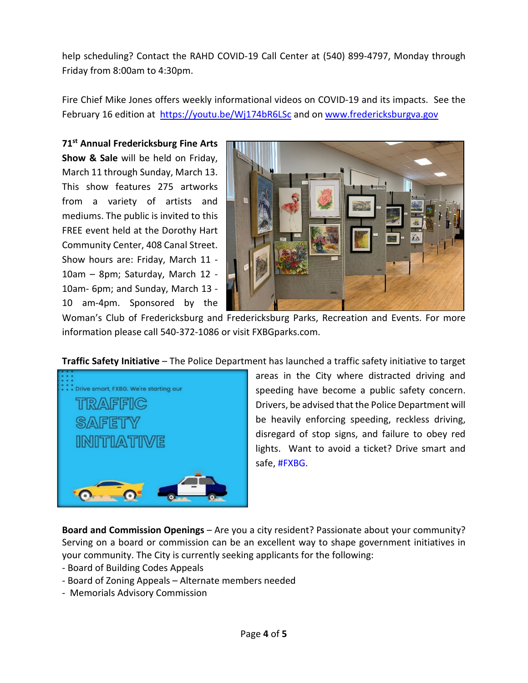help scheduling? Contact the RAHD COVID-19 Call Center at (540) 899-4797, Monday through Friday from 8:00am to 4:30pm.

Fire Chief Mike Jones offers weekly informational videos on COVID-19 and its impacts. See the February 16 edition at [https://youtu.be/Wj174bR6LSc](https://l.facebook.com/l.php?u=https%3A%2F%2Fyoutu.be%2FWj174bR6LSc%3Ffbclid%3DIwAR3jy8pFkwIuJSVvhkJ7eCdSD5TgaqSlBkDqo2lJxZUCFO5J1ldnnmYrcC0&h=AT1gigA7eJc8YERMtoa6Ro4ytk2-7et6yRXryc4oExBOpUh36yT4Mo8olWgeK5MqnnvcVU6Bln3hFNzqRbYB9AEjyBQcZCfAQiVAuNqQyON7LnfqShX8pMHBN9L79utCNw&__tn__=-UK-R&c%5b0%5d=AT32OkJKnf4rM8dgI0aZ0l-QOvE7Itkg8keYsu_AB00qQnt7AtQKuR3bFZCjR9eUn4qyQtkWz2t1bo3gj7WkPYqishOa-z2FL79RrqcQwuqHUXUrvro-BMVfLxYkg_8KeNOx3PgMY3ED-8eVm4YcD-B4eqr_2intAhSfdX0YpSkEyg) and on [www.fredericksburgva.gov](http://www.fredericksburgva.gov/)

**71st Annual Fredericksburg Fine Arts Show & Sale** will be held on Friday, March 11 through Sunday, March 13. This show features 275 artworks from a variety of artists and mediums. The public is invited to this FREE event held at the Dorothy Hart Community Center, 408 Canal Street. Show hours are: Friday, March 11 - 10am – 8pm; Saturday, March 12 - 10am- 6pm; and Sunday, March 13 - 10 am-4pm. Sponsored by the



Woman's Club of Fredericksburg and Fredericksburg Parks, Recreation and Events. For more information please call 540-372-1086 or visit FXBGparks.com.

**Traffic Safety Initiative** – The Police Department has launched a traffic safety initiative to target



areas in the City where distracted driving and speeding have become a public safety concern. Drivers, be advised that the Police Department will be heavily enforcing speeding, reckless driving, disregard of stop signs, and failure to obey red lights. Want to avoid a ticket? Drive smart and safe, [#FXBG.](https://www.facebook.com/hashtag/fxbg?__eep__=6&__cft__%5b0%5d=AZWMm412bROIAlbQjxD2trcL3Q6v8XYnqGiab-pzxHyZlK2AO3wgxGBRUI7RVwNBLZmZ2AFcmkMI1noIapNQk5FV0YxTW81lYx9j2ZUaF9IJx3uquxKREP9bHkNftL_yP_oJd-S6PtYkPbEURGNVAWGUif-leaDtL7Fd9G0WEMmZNw&__tn__=*NK-R)

**Board and Commission Openings** – Are you a city resident? Passionate about your community? Serving on a board or commission can be an excellent way to shape government initiatives in your community. The City is currently seeking applicants for the following:

- Board of Building Codes Appeals
- Board of Zoning Appeals Alternate members needed
- Memorials Advisory Commission